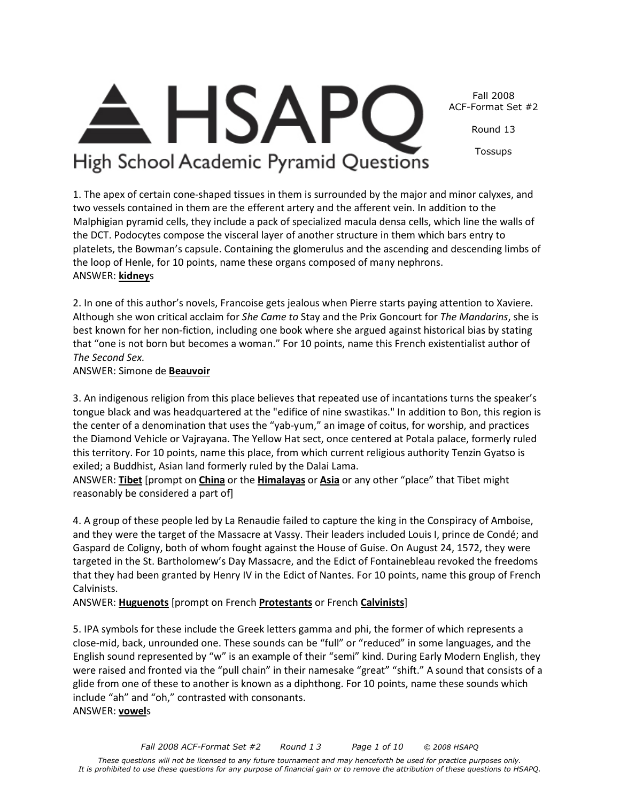Fall 2008 ACF-Format Set #2

Round 13

Tossups

High School Academic Pyramid Questions

1. The apex of certain cone-shaped tissues in them is surrounded by the major and minor calyxes, and two vessels contained in them are the efferent artery and the afferent vein. In addition to the Malphigian pyramid cells, they include a pack of specialized macula densa cells, which line the walls of the DCT. Podocytes compose the visceral layer of another structure in them which bars entry to platelets, the Bowman's capsule. Containing the glomerulus and the ascending and descending limbs of the loop of Henle, for 10 points, name these organs composed of many nephrons. ANSWER: **kidney**s

2. In one of this author's novels, Francoise gets jealous when Pierre starts paying attention to Xaviere. Although she won critical acclaim for *She Came to* Stay and the Prix Goncourt for *The Mandarins*, she is best known for her non-fiction, including one book where she argued against historical bias by stating that "one is not born but becomes a woman." For 10 points, name this French existentialist author of *The Second Sex.*

ANSWER: Simone de **Beauvoir**

3. An indigenous religion from this place believes that repeated use of incantations turns the speaker's tongue black and was headquartered at the "edifice of nine swastikas." In addition to Bon, this region is the center of a denomination that uses the "yab-yum," an image of coitus, for worship, and practices the Diamond Vehicle or Vajrayana. The Yellow Hat sect, once centered at Potala palace, formerly ruled this territory. For 10 points, name this place, from which current religious authority Tenzin Gyatso is exiled; a Buddhist, Asian land formerly ruled by the Dalai Lama.

ANSWER: **Tibet** [prompt on **China** or the **Himalayas** or **Asia** or any other "place" that Tibet might reasonably be considered a part of]

4. A group of these people led by La Renaudie failed to capture the king in the Conspiracy of Amboise, and they were the target of the Massacre at Vassy. Their leaders included Louis I, prince de Condé; and Gaspard de Coligny, both of whom fought against the House of Guise. On August 24, 1572, they were targeted in the St. Bartholomew's Day Massacre, and the Edict of Fontainebleau revoked the freedoms that they had been granted by Henry IV in the Edict of Nantes. For 10 points, name this group of French Calvinists.

ANSWER: **Huguenots** [prompt on French **Protestants** or French **Calvinists**]

5. IPA symbols for these include the Greek letters gamma and phi, the former of which represents a close-mid, back, unrounded one. These sounds can be "full" or "reduced" in some languages, and the English sound represented by "w" is an example of their "semi" kind. During Early Modern English, they were raised and fronted via the "pull chain" in their namesake "great" "shift." A sound that consists of a glide from one of these to another is known as a diphthong. For 10 points, name these sounds which include "ah" and "oh," contrasted with consonants.

ANSWER: **vowel**s

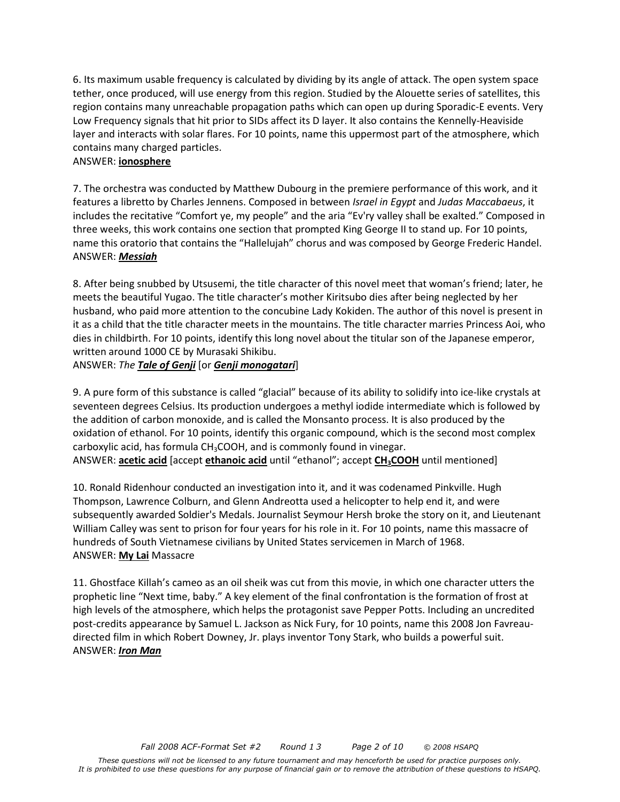6. Its maximum usable frequency is calculated by dividing by its angle of attack. The open system space tether, once produced, will use energy from this region. Studied by the Alouette series of satellites, this region contains many unreachable propagation paths which can open up during Sporadic-E events. Very Low Frequency signals that hit prior to SIDs affect its D layer. It also contains the Kennelly-Heaviside layer and interacts with solar flares. For 10 points, name this uppermost part of the atmosphere, which contains many charged particles.

#### ANSWER: **ionosphere**

7. The orchestra was conducted by Matthew Dubourg in the premiere performance of this work, and it features a libretto by Charles Jennens. Composed in between *Israel in Egypt* and *Judas Maccabaeus*, it includes the recitative "Comfort ye, my people" and the aria "Ev'ry valley shall be exalted." Composed in three weeks, this work contains one section that prompted King George II to stand up. For 10 points, name this oratorio that contains the "Hallelujah" chorus and was composed by George Frederic Handel. ANSWER: *Messiah*

8. After being snubbed by Utsusemi, the title character of this novel meet that woman's friend; later, he meets the beautiful Yugao. The title character's mother Kiritsubo dies after being neglected by her husband, who paid more attention to the concubine Lady Kokiden. The author of this novel is present in it as a child that the title character meets in the mountains. The title character marries Princess Aoi, who dies in childbirth. For 10 points, identify this long novel about the titular son of the Japanese emperor, written around 1000 CE by Murasaki Shikibu.

ANSWER: *The Tale of Genji* [or *Genji monogatari*]

9. A pure form of this substance is called "glacial" because of its ability to solidify into ice-like crystals at seventeen degrees Celsius. Its production undergoes a methyl iodide intermediate which is followed by the addition of carbon monoxide, and is called the Monsanto process. It is also produced by the oxidation of ethanol. For 10 points, identify this organic compound, which is the second most complex carboxylic acid, has formula CH3COOH, and is commonly found in vinegar. ANSWER: **acetic acid** [accept **ethanoic acid** until "ethanol"; accept **CH3COOH** until mentioned]

10. Ronald Ridenhour conducted an investigation into it, and it was codenamed Pinkville. Hugh Thompson, Lawrence Colburn, and Glenn Andreotta used a helicopter to help end it, and were subsequently awarded Soldier's Medals. Journalist Seymour Hersh broke the story on it, and Lieutenant William Calley was sent to prison for four years for his role in it. For 10 points, name this massacre of hundreds of South Vietnamese civilians by United States servicemen in March of 1968. ANSWER: **My Lai** Massacre

11. Ghostface Killah's cameo as an oil sheik was cut from this movie, in which one character utters the prophetic line "Next time, baby." A key element of the final confrontation is the formation of frost at high levels of the atmosphere, which helps the protagonist save Pepper Potts. Including an uncredited post-credits appearance by Samuel L. Jackson as Nick Fury, for 10 points, name this 2008 Jon Favreaudirected film in which Robert Downey, Jr. plays inventor Tony Stark, who builds a powerful suit. ANSWER: *Iron Man*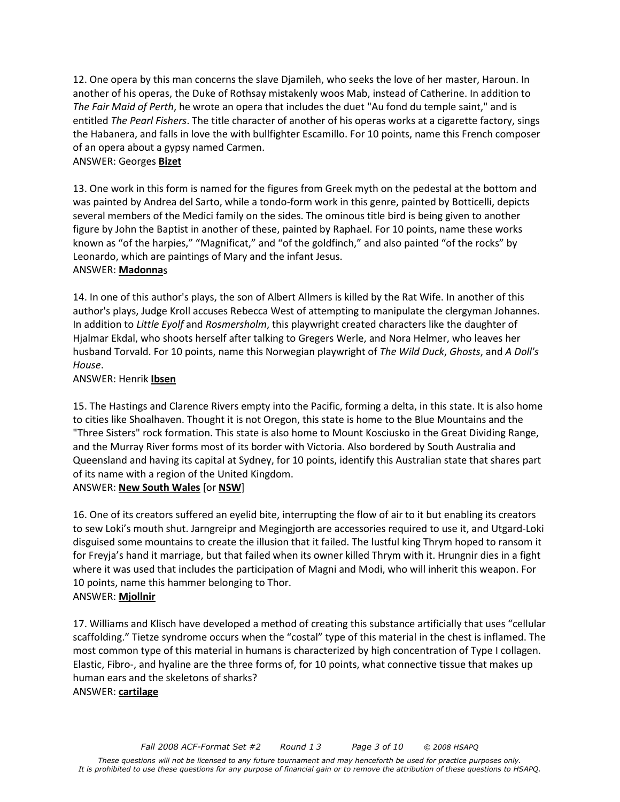12. One opera by this man concerns the slave Djamileh, who seeks the love of her master, Haroun. In another of his operas, the Duke of Rothsay mistakenly woos Mab, instead of Catherine. In addition to *The Fair Maid of Perth*, he wrote an opera that includes the duet "Au fond du temple saint," and is entitled *The Pearl Fishers*. The title character of another of his operas works at a cigarette factory, sings the Habanera, and falls in love the with bullfighter Escamillo. For 10 points, name this French composer of an opera about a gypsy named Carmen.

### ANSWER: Georges **Bizet**

13. One work in this form is named for the figures from Greek myth on the pedestal at the bottom and was painted by Andrea del Sarto, while a tondo-form work in this genre, painted by Botticelli, depicts several members of the Medici family on the sides. The ominous title bird is being given to another figure by John the Baptist in another of these, painted by Raphael. For 10 points, name these works known as "of the harpies," "Magnificat," and "of the goldfinch," and also painted "of the rocks" by Leonardo, which are paintings of Mary and the infant Jesus. ANSWER: **Madonna**s

14. In one of this author's plays, the son of Albert Allmers is killed by the Rat Wife. In another of this author's plays, Judge Kroll accuses Rebecca West of attempting to manipulate the clergyman Johannes. In addition to *Little Eyolf* and *Rosmersholm*, this playwright created characters like the daughter of Hjalmar Ekdal, who shoots herself after talking to Gregers Werle, and Nora Helmer, who leaves her husband Torvald. For 10 points, name this Norwegian playwright of *The Wild Duck*, *Ghosts*, and *A Doll's House*.

### ANSWER: Henrik **Ibsen**

15. The Hastings and Clarence Rivers empty into the Pacific, forming a delta, in this state. It is also home to cities like Shoalhaven. Thought it is not Oregon, this state is home to the Blue Mountains and the "Three Sisters" rock formation. This state is also home to Mount Kosciusko in the Great Dividing Range, and the Murray River forms most of its border with Victoria. Also bordered by South Australia and Queensland and having its capital at Sydney, for 10 points, identify this Australian state that shares part of its name with a region of the United Kingdom.

## ANSWER: **New South Wales** [or **NSW**]

16. One of its creators suffered an eyelid bite, interrupting the flow of air to it but enabling its creators to sew Loki's mouth shut. Jarngreipr and Megingjorth are accessories required to use it, and Utgard-Loki disguised some mountains to create the illusion that it failed. The lustful king Thrym hoped to ransom it for Freyja's hand it marriage, but that failed when its owner killed Thrym with it. Hrungnir dies in a fight where it was used that includes the participation of Magni and Modi, who will inherit this weapon. For 10 points, name this hammer belonging to Thor. ANSWER: **Mjollnir**

17. Williams and Klisch have developed a method of creating this substance artificially that uses "cellular scaffolding." Tietze syndrome occurs when the "costal" type of this material in the chest is inflamed. The most common type of this material in humans is characterized by high concentration of Type I collagen. Elastic, Fibro-, and hyaline are the three forms of, for 10 points, what connective tissue that makes up human ears and the skeletons of sharks? ANSWER: **cartilage**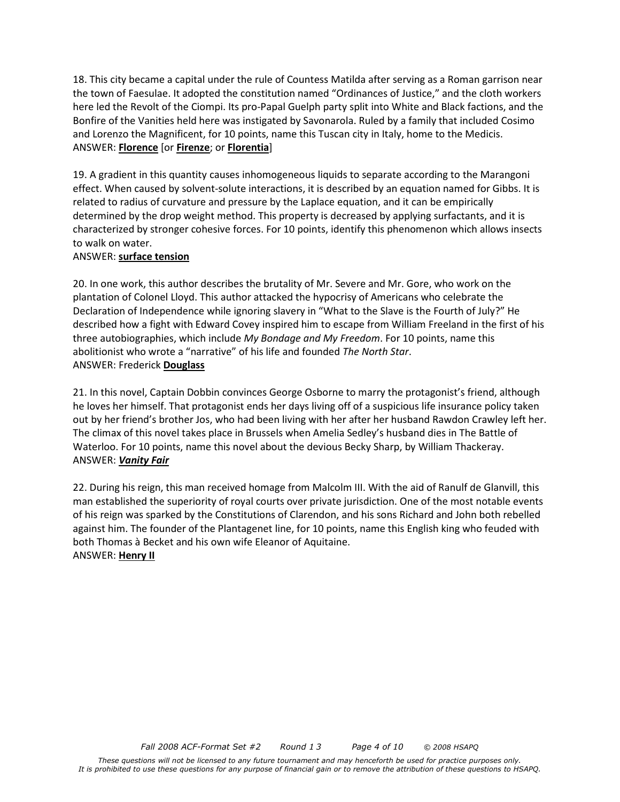18. This city became a capital under the rule of Countess Matilda after serving as a Roman garrison near the town of Faesulae. It adopted the constitution named "Ordinances of Justice," and the cloth workers here led the Revolt of the Ciompi. Its pro-Papal Guelph party split into White and Black factions, and the Bonfire of the Vanities held here was instigated by Savonarola. Ruled by a family that included Cosimo and Lorenzo the Magnificent, for 10 points, name this Tuscan city in Italy, home to the Medicis. ANSWER: **Florence** [or **Firenze**; or **Florentia**]

19. A gradient in this quantity causes inhomogeneous liquids to separate according to the Marangoni effect. When caused by solvent-solute interactions, it is described by an equation named for Gibbs. It is related to radius of curvature and pressure by the Laplace equation, and it can be empirically determined by the drop weight method. This property is decreased by applying surfactants, and it is characterized by stronger cohesive forces. For 10 points, identify this phenomenon which allows insects to walk on water.

#### ANSWER: **surface tension**

20. In one work, this author describes the brutality of Mr. Severe and Mr. Gore, who work on the plantation of Colonel Lloyd. This author attacked the hypocrisy of Americans who celebrate the Declaration of Independence while ignoring slavery in "What to the Slave is the Fourth of July?" He described how a fight with Edward Covey inspired him to escape from William Freeland in the first of his three autobiographies, which include *My Bondage and My Freedom*. For 10 points, name this abolitionist who wrote a "narrative" of his life and founded *The North Star*. ANSWER: Frederick **Douglass**

21. In this novel, Captain Dobbin convinces George Osborne to marry the protagonist's friend, although he loves her himself. That protagonist ends her days living off of a suspicious life insurance policy taken out by her friend's brother Jos, who had been living with her after her husband Rawdon Crawley left her. The climax of this novel takes place in Brussels when Amelia Sedley's husband dies in The Battle of Waterloo. For 10 points, name this novel about the devious Becky Sharp, by William Thackeray. ANSWER: *Vanity Fair*

22. During his reign, this man received homage from Malcolm III. With the aid of Ranulf de Glanvill, this man established the superiority of royal courts over private jurisdiction. One of the most notable events of his reign was sparked by the Constitutions of Clarendon, and his sons Richard and John both rebelled against him. The founder of the Plantagenet line, for 10 points, name this English king who feuded with both Thomas à Becket and his own wife Eleanor of Aquitaine. ANSWER: **Henry II**

*These questions will not be licensed to any future tournament and may henceforth be used for practice purposes only. It is prohibited to use these questions for any purpose of financial gain or to remove the attribution of these questions to HSAPQ.*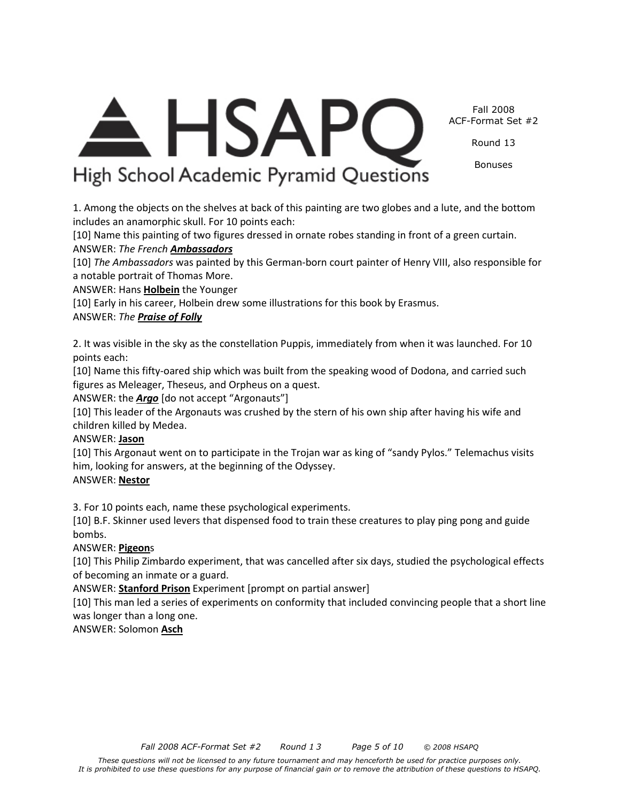*Fall 2008 ACF-Format Set #2 Round 1 3 Page 5 of 10 © 2008 HSAPQ* 

*These questions will not be licensed to any future tournament and may henceforth be used for practice purposes only. It is prohibited to use these questions for any purpose of financial gain or to remove the attribution of these questions to HSAPQ.* 

Fall 2008 ACF-Format Set #2

Round 13

Bonuses

<del>A</del> HSAPC High School Academic Pyramid Questions

1. Among the objects on the shelves at back of this painting are two globes and a lute, and the bottom includes an anamorphic skull. For 10 points each:

[10] Name this painting of two figures dressed in ornate robes standing in front of a green curtain. ANSWER: *The French Ambassadors*

[10] *The Ambassadors* was painted by this German-born court painter of Henry VIII, also responsible for a notable portrait of Thomas More.

ANSWER: Hans **Holbein** the Younger

[10] Early in his career, Holbein drew some illustrations for this book by Erasmus.

# ANSWER: *The Praise of Folly*

2. It was visible in the sky as the constellation Puppis, immediately from when it was launched. For 10 points each:

[10] Name this fifty-oared ship which was built from the speaking wood of Dodona, and carried such figures as Meleager, Theseus, and Orpheus on a quest.

ANSWER: the *Argo* [do not accept "Argonauts"]

[10] This leader of the Argonauts was crushed by the stern of his own ship after having his wife and children killed by Medea.

# ANSWER: **Jason**

[10] This Argonaut went on to participate in the Trojan war as king of "sandy Pylos." Telemachus visits him, looking for answers, at the beginning of the Odyssey.

# ANSWER: **Nestor**

3. For 10 points each, name these psychological experiments.

[10] B.F. Skinner used levers that dispensed food to train these creatures to play ping pong and guide bombs.

# ANSWER: **Pigeon**s

[10] This Philip Zimbardo experiment, that was cancelled after six days, studied the psychological effects of becoming an inmate or a guard.

ANSWER: **Stanford Prison** Experiment [prompt on partial answer]

[10] This man led a series of experiments on conformity that included convincing people that a short line was longer than a long one.

# ANSWER: Solomon **Asch**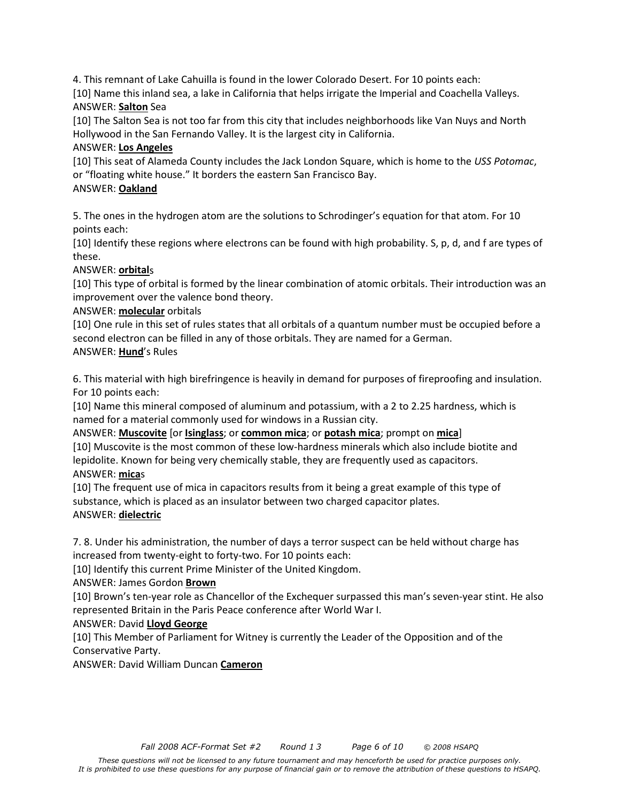4. This remnant of Lake Cahuilla is found in the lower Colorado Desert. For 10 points each:

[10] Name this inland sea, a lake in California that helps irrigate the Imperial and Coachella Valleys. ANSWER: **Salton** Sea

[10] The Salton Sea is not too far from this city that includes neighborhoods like Van Nuys and North Hollywood in the San Fernando Valley. It is the largest city in California.

## ANSWER: **Los Angeles**

[10] This seat of Alameda County includes the Jack London Square, which is home to the *USS Potomac*, or "floating white house." It borders the eastern San Francisco Bay.

# ANSWER: **Oakland**

5. The ones in the hydrogen atom are the solutions to Schrodinger's equation for that atom. For 10 points each:

[10] Identify these regions where electrons can be found with high probability. S, p, d, and f are types of these.

## ANSWER: **orbital**s

[10] This type of orbital is formed by the linear combination of atomic orbitals. Their introduction was an improvement over the valence bond theory.

## ANSWER: **molecular** orbitals

[10] One rule in this set of rules states that all orbitals of a quantum number must be occupied before a second electron can be filled in any of those orbitals. They are named for a German. ANSWER: **Hund**'s Rules

6. This material with high birefringence is heavily in demand for purposes of fireproofing and insulation. For 10 points each:

[10] Name this mineral composed of aluminum and potassium, with a 2 to 2.25 hardness, which is named for a material commonly used for windows in a Russian city.

ANSWER: **Muscovite** [or **Isinglass**; or **common mica**; or **potash mica**; prompt on **mica**] [10] Muscovite is the most common of these low-hardness minerals which also include biotite and lepidolite. Known for being very chemically stable, they are frequently used as capacitors. ANSWER: **mica**s

[10] The frequent use of mica in capacitors results from it being a great example of this type of substance, which is placed as an insulator between two charged capacitor plates. ANSWER: **dielectric**

7. 8. Under his administration, the number of days a terror suspect can be held without charge has increased from twenty-eight to forty-two. For 10 points each:

[10] Identify this current Prime Minister of the United Kingdom.

## ANSWER: James Gordon **Brown**

[10] Brown's ten-year role as Chancellor of the Exchequer surpassed this man's seven-year stint. He also represented Britain in the Paris Peace conference after World War I.

## ANSWER: David **Lloyd George**

[10] This Member of Parliament for Witney is currently the Leader of the Opposition and of the Conservative Party.

ANSWER: David William Duncan **Cameron**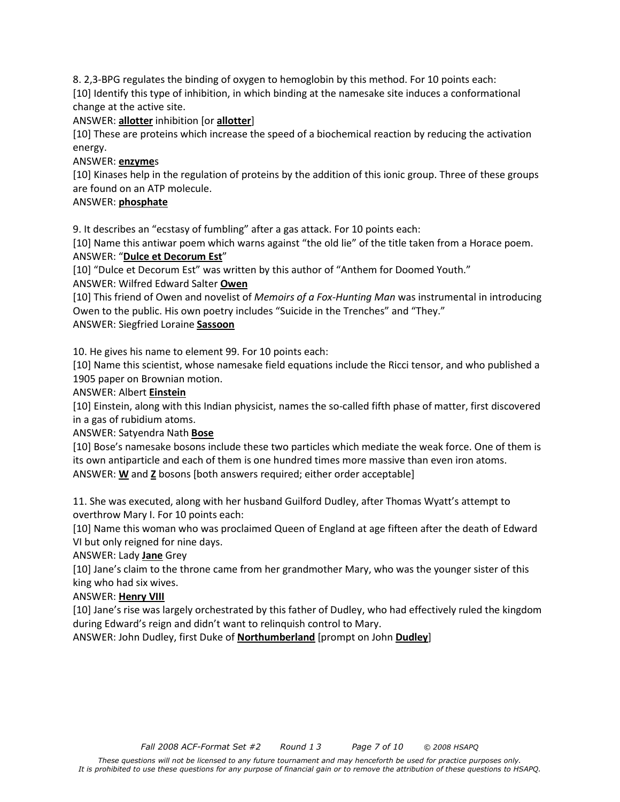8. 2,3-BPG regulates the binding of oxygen to hemoglobin by this method. For 10 points each:

[10] Identify this type of inhibition, in which binding at the namesake site induces a conformational change at the active site.

### ANSWER: **allotter** inhibition [or **allotter**]

[10] These are proteins which increase the speed of a biochemical reaction by reducing the activation energy.

### ANSWER: **enzyme**s

[10] Kinases help in the regulation of proteins by the addition of this ionic group. Three of these groups are found on an ATP molecule.

### ANSWER: **phosphate**

9. It describes an "ecstasy of fumbling" after a gas attack. For 10 points each:

[10] Name this antiwar poem which warns against "the old lie" of the title taken from a Horace poem. ANSWER: "**Dulce et Decorum Est**"

[10] "Dulce et Decorum Est" was written by this author of "Anthem for Doomed Youth."

ANSWER: Wilfred Edward Salter **Owen**

[10] This friend of Owen and novelist of *Memoirs of a Fox-Hunting Man* was instrumental in introducing Owen to the public. His own poetry includes "Suicide in the Trenches" and "They."

ANSWER: Siegfried Loraine **Sassoon**

10. He gives his name to element 99. For 10 points each:

[10] Name this scientist, whose namesake field equations include the Ricci tensor, and who published a 1905 paper on Brownian motion.

### ANSWER: Albert **Einstein**

[10] Einstein, along with this Indian physicist, names the so-called fifth phase of matter, first discovered in a gas of rubidium atoms.

ANSWER: Satyendra Nath **Bose**

[10] Bose's namesake bosons include these two particles which mediate the weak force. One of them is its own antiparticle and each of them is one hundred times more massive than even iron atoms. ANSWER: **W** and **Z** bosons [both answers required; either order acceptable]

11. She was executed, along with her husband Guilford Dudley, after Thomas Wyatt's attempt to overthrow Mary I. For 10 points each:

[10] Name this woman who was proclaimed Queen of England at age fifteen after the death of Edward VI but only reigned for nine days.

ANSWER: Lady **Jane** Grey

[10] Jane's claim to the throne came from her grandmother Mary, who was the younger sister of this king who had six wives.

## ANSWER: **Henry VIII**

[10] Jane's rise was largely orchestrated by this father of Dudley, who had effectively ruled the kingdom during Edward's reign and didn't want to relinquish control to Mary.

ANSWER: John Dudley, first Duke of **Northumberland** [prompt on John **Dudley**]

*These questions will not be licensed to any future tournament and may henceforth be used for practice purposes only. It is prohibited to use these questions for any purpose of financial gain or to remove the attribution of these questions to HSAPQ.*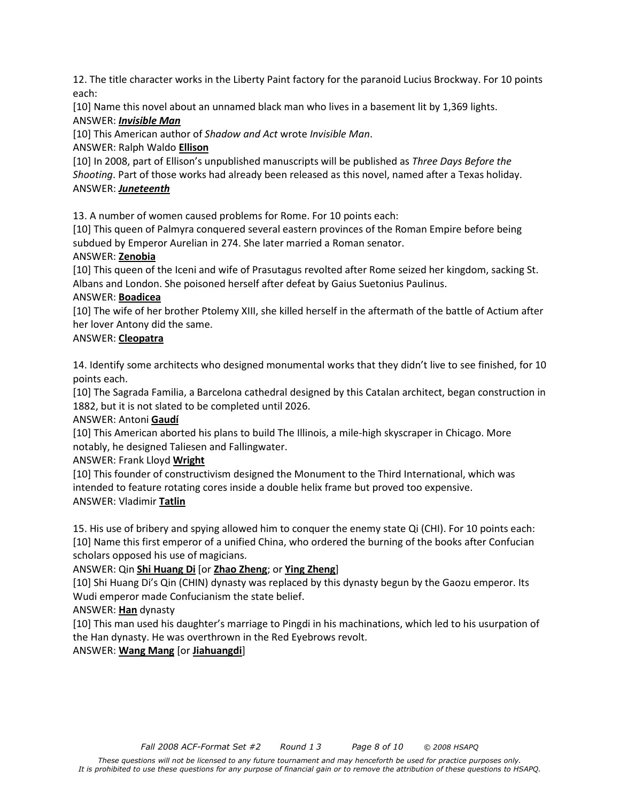12. The title character works in the Liberty Paint factory for the paranoid Lucius Brockway. For 10 points each:

[10] Name this novel about an unnamed black man who lives in a basement lit by 1,369 lights.

# ANSWER: *Invisible Man*

[10] This American author of *Shadow and Act* wrote *Invisible Man*.

# ANSWER: Ralph Waldo **Ellison**

[10] In 2008, part of Ellison's unpublished manuscripts will be published as *Three Days Before the Shooting*. Part of those works had already been released as this novel, named after a Texas holiday. ANSWER: *Juneteenth*

13. A number of women caused problems for Rome. For 10 points each:

[10] This queen of Palmyra conquered several eastern provinces of the Roman Empire before being subdued by Emperor Aurelian in 274. She later married a Roman senator.

# ANSWER: **Zenobia**

[10] This queen of the Iceni and wife of Prasutagus revolted after Rome seized her kingdom, sacking St. Albans and London. She poisoned herself after defeat by Gaius Suetonius Paulinus.

## ANSWER: **Boadicea**

[10] The wife of her brother Ptolemy XIII, she killed herself in the aftermath of the battle of Actium after her lover Antony did the same.

# ANSWER: **Cleopatra**

14. Identify some architects who designed monumental works that they didn't live to see finished, for 10 points each.

[10] The Sagrada Familia, a Barcelona cathedral designed by this Catalan architect, began construction in 1882, but it is not slated to be completed until 2026.

# ANSWER: Antoni **Gaudí**

[10] This American aborted his plans to build The Illinois, a mile-high skyscraper in Chicago. More notably, he designed Taliesen and Fallingwater.

# ANSWER: Frank Lloyd **Wright**

[10] This founder of constructivism designed the Monument to the Third International, which was intended to feature rotating cores inside a double helix frame but proved too expensive. ANSWER: Vladimir **Tatlin**

15. His use of bribery and spying allowed him to conquer the enemy state Qi (CHI). For 10 points each: [10] Name this first emperor of a unified China, who ordered the burning of the books after Confucian scholars opposed his use of magicians.

# ANSWER: Qin **Shi Huang Di** [or **Zhao Zheng**; or **Ying Zheng**]

[10] Shi Huang Di's Qin (CHIN) dynasty was replaced by this dynasty begun by the Gaozu emperor. Its Wudi emperor made Confucianism the state belief.

ANSWER: **Han** dynasty

[10] This man used his daughter's marriage to Pingdi in his machinations, which led to his usurpation of the Han dynasty. He was overthrown in the Red Eyebrows revolt.

ANSWER: **Wang Mang** [or **Jiahuangdi**]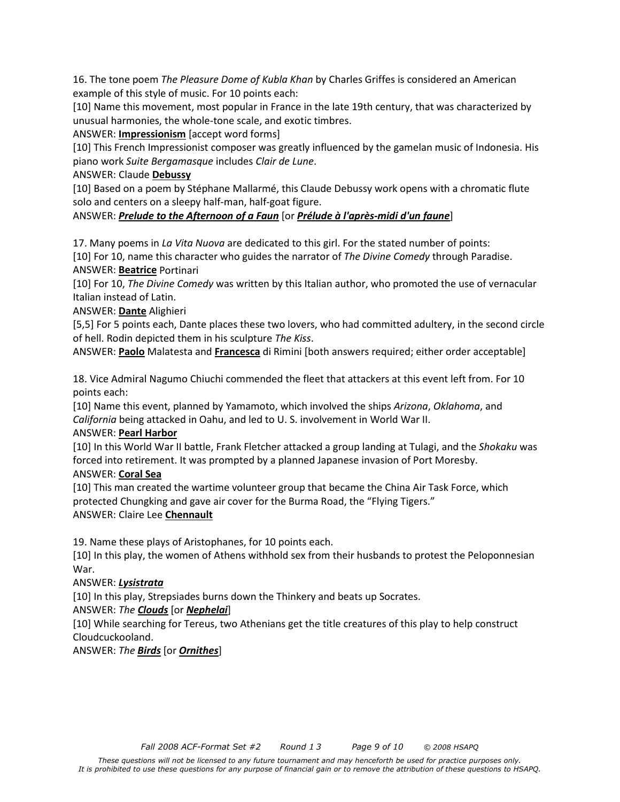16. The tone poem *The Pleasure Dome of Kubla Khan* by Charles Griffes is considered an American example of this style of music. For 10 points each:

[10] Name this movement, most popular in France in the late 19th century, that was characterized by unusual harmonies, the whole-tone scale, and exotic timbres.

ANSWER: **Impressionism** [accept word forms]

[10] This French Impressionist composer was greatly influenced by the gamelan music of Indonesia. His piano work *Suite Bergamasque* includes *Clair de Lune*.

### ANSWER: Claude **Debussy**

[10] Based on a poem by Stéphane Mallarmé, this Claude Debussy work opens with a chromatic flute solo and centers on a sleepy half-man, half-goat figure.

## ANSWER: *Prelude to the Afternoon of a Faun* [or *Prélude à l'après-midi d'un faune*]

17. Many poems in *La Vita Nuova* are dedicated to this girl. For the stated number of points: [10] For 10, name this character who guides the narrator of *The Divine Comedy* through Paradise. ANSWER: **Beatrice** Portinari

[10] For 10, *The Divine Comedy* was written by this Italian author, who promoted the use of vernacular Italian instead of Latin.

ANSWER: **Dante** Alighieri

[5,5] For 5 points each, Dante places these two lovers, who had committed adultery, in the second circle of hell. Rodin depicted them in his sculpture *The Kiss*.

ANSWER: **Paolo** Malatesta and **Francesca** di Rimini [both answers required; either order acceptable]

18. Vice Admiral Nagumo Chiuchi commended the fleet that attackers at this event left from. For 10 points each:

[10] Name this event, planned by Yamamoto, which involved the ships *Arizona*, *Oklahoma*, and *California* being attacked in Oahu, and led to U. S. involvement in World War II.

## ANSWER: **Pearl Harbor**

[10] In this World War II battle, Frank Fletcher attacked a group landing at Tulagi, and the *Shokaku* was forced into retirement. It was prompted by a planned Japanese invasion of Port Moresby.

## ANSWER: **Coral Sea**

[10] This man created the wartime volunteer group that became the China Air Task Force, which protected Chungking and gave air cover for the Burma Road, the "Flying Tigers." ANSWER: Claire Lee **Chennault**

19. Name these plays of Aristophanes, for 10 points each.

[10] In this play, the women of Athens withhold sex from their husbands to protest the Peloponnesian War.

## ANSWER: *Lysistrata*

[10] In this play, Strepsiades burns down the Thinkery and beats up Socrates.

ANSWER: *The Clouds* [or *Nephelai*]

[10] While searching for Tereus, two Athenians get the title creatures of this play to help construct Cloudcuckooland.

ANSWER: *The Birds* [or *Ornithes*]

*These questions will not be licensed to any future tournament and may henceforth be used for practice purposes only. It is prohibited to use these questions for any purpose of financial gain or to remove the attribution of these questions to HSAPQ.*